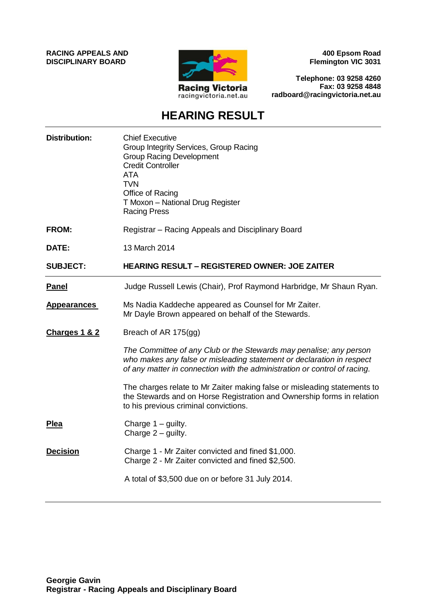**RACING APPEALS AND DISCIPLINARY BOARD**



**400 Epsom Road Flemington VIC 3031**

**Telephone: 03 9258 4260 Fax: 03 9258 4848 radboard@racingvictoria.net.au**

## **HEARING RESULT**

| <b>Distribution:</b> | <b>Chief Executive</b><br>Group Integrity Services, Group Racing<br><b>Group Racing Development</b><br><b>Credit Controller</b><br><b>ATA</b><br><b>TVN</b><br>Office of Racing<br>T Moxon - National Drug Register<br><b>Racing Press</b> |
|----------------------|--------------------------------------------------------------------------------------------------------------------------------------------------------------------------------------------------------------------------------------------|
| <b>FROM:</b>         | Registrar - Racing Appeals and Disciplinary Board                                                                                                                                                                                          |
| DATE:                | 13 March 2014                                                                                                                                                                                                                              |
| <b>SUBJECT:</b>      | <b>HEARING RESULT - REGISTERED OWNER: JOE ZAITER</b>                                                                                                                                                                                       |
| <b>Panel</b>         | Judge Russell Lewis (Chair), Prof Raymond Harbridge, Mr Shaun Ryan.                                                                                                                                                                        |
| <b>Appearances</b>   | Ms Nadia Kaddeche appeared as Counsel for Mr Zaiter.<br>Mr Dayle Brown appeared on behalf of the Stewards.                                                                                                                                 |
| Charges 1 & 2        | Breach of AR 175(gg)                                                                                                                                                                                                                       |
|                      | The Committee of any Club or the Stewards may penalise; any person<br>who makes any false or misleading statement or declaration in respect<br>of any matter in connection with the administration or control of racing.                   |
|                      | The charges relate to Mr Zaiter making false or misleading statements to<br>the Stewards and on Horse Registration and Ownership forms in relation<br>to his previous criminal convictions.                                                |
| <b>Plea</b>          | Charge $1 -$ guilty.<br>Charge $2$ – guilty.                                                                                                                                                                                               |
| <b>Decision</b>      | Charge 1 - Mr Zaiter convicted and fined \$1,000.<br>Charge 2 - Mr Zaiter convicted and fined \$2,500.                                                                                                                                     |
|                      | A total of \$3,500 due on or before 31 July 2014.                                                                                                                                                                                          |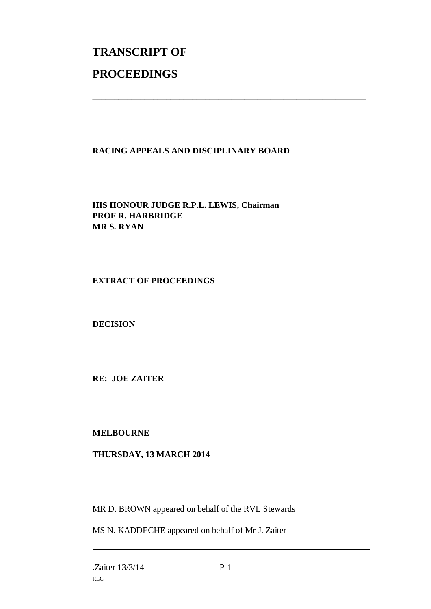# **TRANSCRIPT OF PROCEEDINGS**

### **RACING APPEALS AND DISCIPLINARY BOARD**

\_\_\_\_\_\_\_\_\_\_\_\_\_\_\_\_\_\_\_\_\_\_\_\_\_\_\_\_\_\_\_\_\_\_\_\_\_\_\_\_\_\_\_\_\_\_\_\_\_\_\_\_\_\_\_\_\_\_\_\_\_\_\_

**HIS HONOUR JUDGE R.P.L. LEWIS, Chairman PROF R. HARBRIDGE MR S. RYAN**

#### **EXTRACT OF PROCEEDINGS**

**DECISION**

**RE: JOE ZAITER**

**MELBOURNE**

#### **THURSDAY, 13 MARCH 2014**

MR D. BROWN appeared on behalf of the RVL Stewards

MS N. KADDECHE appeared on behalf of Mr J. Zaiter